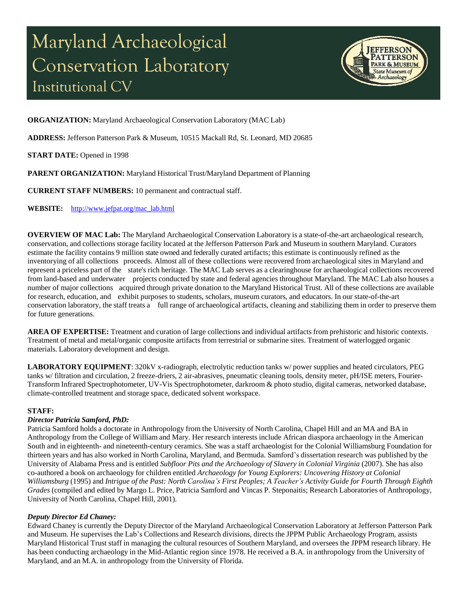# Maryland Archaeological Conservation Laboratory Institutional CV



**ORGANIZATION:** Maryland Archaeological Conservation Laboratory (MAC Lab)

**ADDRESS:** Jefferson Patterson Park & Museum, 10515 Mackall Rd, St. Leonard, MD 20685

**START DATE:** Opened in 1998

**PARENT ORGANIZATION:** Maryland Historical Trust/Maryland Department of Planning

**CURRENT STAFF NUMBERS:** 10 permanent and contractual staff.

**WEBSITE:** [http://www.jefpat.org/mac\\_lab.html](http://www.jefpat.org/mac_lab.html)

**OVERVIEW OF MAC Lab:** The Maryland Archaeological Conservation Laboratory is a state-of-the-art archaeological research, conservation, and collections storage facility located at the Jefferson Patterson Park and Museum in southern Maryland. Curators estimate the facility contains 9 million state owned and federally curated artifacts; this estimate is continuously refined as the inventorying of all collections proceeds. Almost all of these collections were recovered from archaeological sites in Maryland and represent a priceless part of the state's rich heritage. The MAC Lab serves as a clearinghouse for archaeological collections recovered from land-based and underwater projects conducted by state and federal agencies throughout Maryland. The MAC Lab also houses a number of major collections acquired through private donation to the Maryland Historical Trust. All of these collections are available for research, education, and exhibit purposes to students, scholars, museum curators, and educators. In our state-of-the-art conservation laboratory, the staff treats a full range of archaeological artifacts, cleaning and stabilizing them in order to preserve them for future generations.

**AREA OF EXPERTISE:** Treatment and curation of large collections and individual artifacts from prehistoric and historic contexts. Treatment of metal and metal/organic composite artifacts from terrestrial or submarine sites. Treatment of waterlogged organic materials. Laboratory development and design.

**LABORATORY EQUIPMENT**: 320kV x-radiograph, electrolytic reduction tanks w/ power supplies and heated circulators, PEG tanks w/ filtration and circulation, 2 freeze-driers, 2 air-abrasives, pneumatic cleaning tools, density meter, pH/ISE meters, Fourier-Transform Infrared Spectrophotometer, UV-Vis Spectrophotometer, darkroom & photo studio, digital cameras, networked database, climate-controlled treatment and storage space, dedicated solvent workspace.

#### **STAFF:**

## *Director Patricia Samford, PhD:*

Patricia Samford holds a doctorate in Anthropology from the University of North Carolina, Chapel Hill and an MA and BA in Anthropology from the College of William and Mary. Her research interests include African diaspora archaeology in the American South and in eighteenth- and nineteenth-century ceramics. She was a staff archaeologist for the Colonial Williamsburg Foundation for thirteen years and has also worked in North Carolina, Maryland, and Bermuda. Samford's dissertation research was published by the University of Alabama Press and is entitled *Subfloor Pits and the Archaeology of Slavery in Colonial Virginia* (2007). She has also co-authored a book on archaeology for children entitled *Archaeology for Young Explorers: Uncovering History at Colonial* Williamsburg (1995) and Intrigue of the Past: North Carolina's First Peoples; A Teacher's Activity Guide for Fourth Through Eighth *Grades* (compiled and edited by Margo L. Price, Patricia Samford and Vincas P. Steponaitis; Research Laboratories of Anthropology, University of North Carolina, Chapel Hill, 2001).

## *Deputy Director Ed Chaney:*

Edward Chaney is currently the Deputy Director of the Maryland Archaeological Conservation Laboratory at Jefferson Patterson Park and Museum. He supervises the Lab's Collections and Research divisions, directs the JPPM Public Archaeology Program, assists Maryland Historical Trust staff in managing the cultural resources of Southern Maryland, and oversees the JPPM research library. He has been conducting archaeology in the Mid-Atlantic region since 1978. He received a B.A. in anthropology from the University of Maryland, and an M.A. in anthropology from the University of Florida.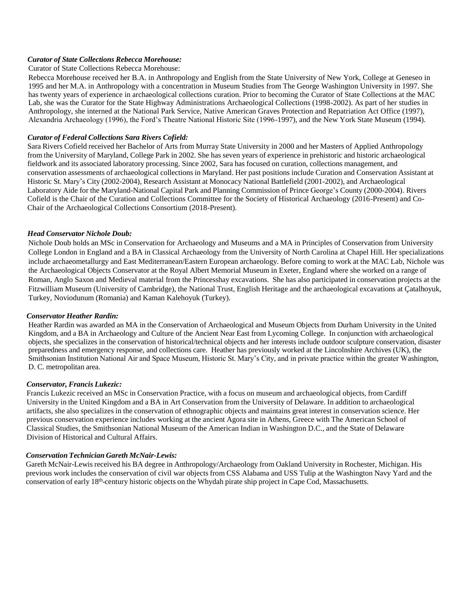## *Curator of State Collections Rebecca Morehouse:*

#### Curator of State Collections Rebecca Morehouse:

Rebecca Morehouse received her B.A. in Anthropology and English from the State University of New York, College at Geneseo in 1995 and her M.A. in Anthropology with a concentration in Museum Studies from The George Washington University in 1997. She has twenty years of experience in archaeological collections curation. Prior to becoming the Curator of State Collections at the MAC Lab, she was the Curator for the State Highway Administrations Archaeological Collections (1998-2002). As part of her studies in Anthropology, she interned at the National Park Service, Native American Graves Protection and Repatriation Act Office (1997), Alexandria Archaeology (1996), the Ford's Theatre National Historic Site (1996-1997), and the New York State Museum (1994).

## *Curator of Federal Collections Sara Rivers Cofield:*

Sara Rivers Cofield received her Bachelor of Arts from Murray State University in 2000 and her Masters of Applied Anthropology from the University of Maryland, College Park in 2002. She has seven years of experience in prehistoric and historic archaeological fieldwork and its associated laboratory processing. Since 2002, Sara has focused on curation, collections management, and conservation assessments of archaeological collections in Maryland. Her past positions include Curation and Conservation Assistant at Historic St. Mary's City (2002-2004), Research Assistant at Monocacy National Battlefield (2001-2002), and Archaeological Laboratory Aide for the Maryland-National Capital Park and Planning Commission of Prince George's County (2000-2004). Rivers Cofield is the Chair of the Curation and Collections Committee for the Society of Historical Archaeology (2016-Present) and Co-Chair of the Archaeological Collections Consortium (2018-Present).

## *Head Conservator Nichole Doub:*

Nichole Doub holds an MSc in Conservation for Archaeology and Museums and a MA in Principles of Conservation from University College London in England and a BA in Classical Archaeology from the University of North Carolina at Chapel Hill. Her specializations include archaeometallurgy and East Mediterranean/Eastern European archaeology. Before coming to work at the MAC Lab, Nichole was the Archaeological Objects Conservator at the Royal Albert Memorial Museum in Exeter, England where she worked on a range of Roman, Anglo Saxon and Medieval material from the Princesshay excavations. She has also participated in conservation projects at the Fitzwilliam Museum (University of Cambridge), the National Trust, English Heritage and the archaeological excavations at Çatalhoyuk, Turkey, Noviodunum (Romania) and Kaman Kalehoyuk (Turkey).

#### *Conservator Heather Rardin:*

Heather Rardin was awarded an MA in the Conservation of Archaeological and Museum Objects from Durham University in the United Kingdom, and a BA in Archaeology and Culture of the Ancient Near East from Lycoming College. In conjunction with archaeological objects, she specializes in the conservation of historical/technical objects and her interests include outdoor sculpture conservation, disaster preparedness and emergency response, and collections care. Heather has previously worked at the Lincolnshire Archives (UK), the Smithsonian Institution National Air and Space Museum, Historic St. Mary's City, and in private practice within the greater Washington, D. C. metropolitan area.

#### *Conservator, Francis Lukezic:*

Francis Lukezic received an MSc in Conservation Practice, with a focus on museum and archaeological objects, from Cardiff University in the United Kingdom and a BA in Art Conservation from the University of Delaware. In addition to archaeological artifacts, she also specializes in the conservation of ethnographic objects and maintains great interest in conservation science. Her previous conservation experience includes working at the ancient Agora site in Athens, Greece with The American School of Classical Studies, the Smithsonian National Museum of the American Indian in Washington D.C., and the State of Delaware Division of Historical and Cultural Affairs.

#### *Conservation Technician Gareth McNair-Lewis:*

Gareth McNair-Lewis received his BA degree in Anthropology/Archaeology from Oakland University in Rochester, Michigan. His previous work includes the conservation of civil war objects from CSS Alabama and USS Tulip at the Washington Navy Yard and the conservation of early 18<sup>th</sup>-century historic objects on the Whydah pirate ship project in Cape Cod, Massachusetts.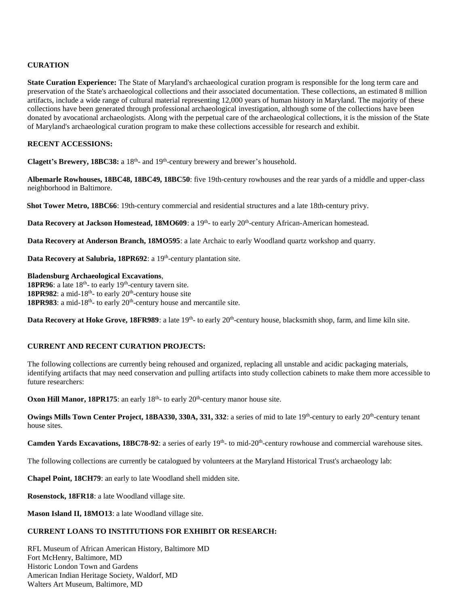## **CURATION**

**State Curation Experience:** The State of Maryland's archaeological curation program is responsible for the long term care and preservation of the State's archaeological collections and their associated documentation. These collections, an estimated 8 million artifacts, include a wide range of cultural material representing 12,000 years of human history in Maryland. The majority of these collections have been generated through professional archaeological investigation, although some of the collections have been donated by avocational archaeologists. Along with the perpetual care of the archaeological collections, it is the mission of the State of Maryland's archaeological curation program to make these collections accessible for research and exhibit.

## **RECENT ACCESSIONS:**

Clagett's Brewery, 18BC38: a 18<sup>th</sup>- and 19<sup>th</sup>-century brewery and brewer's household.

**Albemarle Rowhouses, 18BC48, 18BC49, 18BC50**: five 19th-century rowhouses and the rear yards of a middle and upper-class neighborhood in Baltimore.

**Shot Tower Metro, 18BC66**: 19th-century commercial and residential structures and a late 18th-century privy.

Data Recovery at Jackson Homestead, 18MO609: a 19<sup>th</sup>- to early 20<sup>th</sup>-century African-American homestead.

**Data Recovery at Anderson Branch, 18MO595**: a late Archaic to early Woodland quartz workshop and quarry.

Data Recovery at Salubria, 18PR692: a 19<sup>th</sup>-century plantation site.

**Bladensburg Archaeological Excavations**, **18PR96**: a late  $18<sup>th</sup>$ - to early  $19<sup>th</sup>$ -century tavern site.

**18PR982**: a mid-18<sup>th</sup>- to early  $20<sup>th</sup>$ -century house site 18PR983: a mid-18<sup>th</sup>- to early 20<sup>th</sup>-century house and mercantile site.

**Data Recovery at Hoke Grove, 18FR989**: a late 19<sup>th</sup>- to early 20<sup>th</sup>-century house, blacksmith shop, farm, and lime kiln site.

#### **CURRENT AND RECENT CURATION PROJECTS:**

The following collections are currently being rehoused and organized, replacing all unstable and acidic packaging materials, identifying artifacts that may need conservation and pulling artifacts into study collection cabinets to make them more accessible to future researchers:

**Oxon Hill Manor, 18PR175**: an early  $18<sup>th</sup>$ - to early  $20<sup>th</sup>$ -century manor house site.

Owings Mills Town Center Project, 18BA330, 330A, 331, 332: a series of mid to late 19<sup>th</sup>-century to early 20<sup>th</sup>-century tenant house sites.

Camden Yards Excavations, 18BC78-92: a series of early 19<sup>th</sup>- to mid-20<sup>th</sup>-century rowhouse and commercial warehouse sites.

The following collections are currently be catalogued by volunteers at the Maryland Historical Trust's archaeology lab:

**Chapel Point, 18CH79**: an early to late Woodland shell midden site.

**Rosenstock, 18FR18**: a late Woodland village site.

**Mason Island II, 18MO13**: a late Woodland village site.

# **CURRENT LOANS TO INSTITUTIONS FOR EXHIBIT OR RESEARCH:**

RFL Museum of African American History, Baltimore MD Fort McHenry, Baltimore, MD Historic London Town and Gardens American Indian Heritage Society, Waldorf, MD Walters Art Museum, Baltimore, MD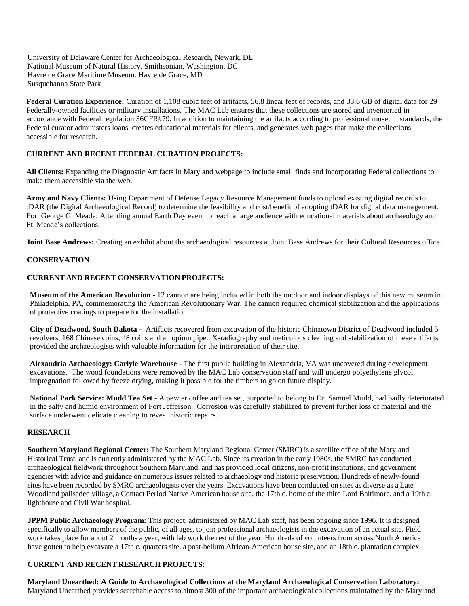University of Delaware Center for Archaeological Research, Newark, DE National Museum of Natural History, Smithsonian, Washington, DC Havre de Grace Maritime Museum. Havre de Grace, MD Susquehanna State Park

**Federal Curation Experience:** Curation of 1,108 cubic feet of artifacts, 56.8 linear feet of records, and 33.6 GB of digital data for 29 Federally-owned facilities or military installations. The MAC Lab ensures that these collections are stored and inventoried in accordance with Federal regulation 36CFR§79. In addition to maintaining the artifacts according to professional museum standards, the Federal curator administers loans, creates educational materials for clients, and generates web pages that make the collections accessible for research.

# **CURRENT AND RECENT FEDERAL CURATION PROJECTS:**

**All Clients:** Expanding the Diagnostic Artifacts in Maryland webpage to include small finds and incorporating Federal collections to make them accessible via the web.

**Army and Navy Clients:** Using Department of Defense Legacy Resource Management funds to upload existing digital records to tDAR (the Digital Archaeological Record) to determine the feasibility and cost/benefit of adopting tDAR for digital data management. Fort George G. Meade: Attending annual Earth Day event to reach a large audience with educational materials about archaeology and Ft. Meade's collections.

**Joint Base Andrews:** Creating an exhibit about the archaeological resources at Joint Base Andrews for their Cultural Resources office.

## **CONSERVATION**

## **CURRENT AND RECENT CONSERVATION PROJECTS:**

**Museum of the American Revolution** - 12 cannon are being included in both the outdoor and indoor displays of this new museum in Philadelphia, PA, commemorating the American Revolutionary War. The cannon required chemical stabilization and the applications of protective coatings to prepare for the installation.

**City of Deadwood, South Dakota -** Artifacts recovered from excavation of the historic Chinatown District of Deadwood included 5 revolvers, 168 Chinese coins, 48 coins and an opium pipe. X-radiography and meticulous cleaning and stabilization of these artifacts provided the archaeologists with valuable information for the interpretation of their site.

**Alexandria Archaeology: Carlyle Warehouse** - The first public building in Alexandria, VA was uncovered during development excavations. The wood foundations were removed by the MAC Lab conservation staff and will undergo polyethylene glycol impregnation followed by freeze drying, making it possible for the timbers to go on future display.

**National Park Service: Mudd Tea Set** - A pewter coffee and tea set, purported to belong to Dr. Samuel Mudd, had badly deteriorated in the salty and humid environment of Fort Jefferson. Corrosion was carefully stabilized to prevent further loss of material and the surface underwent delicate cleaning to reveal historic repairs.

#### **RESEARCH**

**Southern Maryland Regional Center:** The Southern Maryland Regional Center (SMRC) is a satellite office of the Maryland Historical Trust, and is currently administered by the MAC Lab. Since its creation in the early 1980s, the SMRC has conducted archaeological fieldwork throughout Southern Maryland, and has provided local citizens, non-profit institutions, and government agencies with advice and guidance on numerous issues related to archaeology and historic preservation. Hundreds of newly-found sites have been recorded by SMRC archaeologists over the years. Excavations have been conducted on sites as diverse as a Late Woodland palisaded village, a Contact Period Native American house site, the 17th c. home of the third Lord Baltimore, and a 19th c. lighthouse and Civil War hospital.

**JPPM Public Archaeology Program:** This project, administered by MAC Lab staff, has been ongoing since 1996. It is designed specifically to allow members of the public, of all ages, to join professional archaeologists in the excavation of an actual site. Field work takes place for about 2 months a year, with lab work the rest of the year. Hundreds of volunteers from across North America have gotten to help excavate a 17th c. quarters site, a post-bellum African-American house site, and an 18th c. plantation complex.

## **CURRENT AND RECENT RESEARCH PROJECTS:**

**Maryland Unearthed: A Guide to Archaeological Collections at the Maryland Archaeological Conservation Laboratory:**  Maryland Unearthed provides searchable access to almost 300 of the important archaeological collections maintained by the Maryland